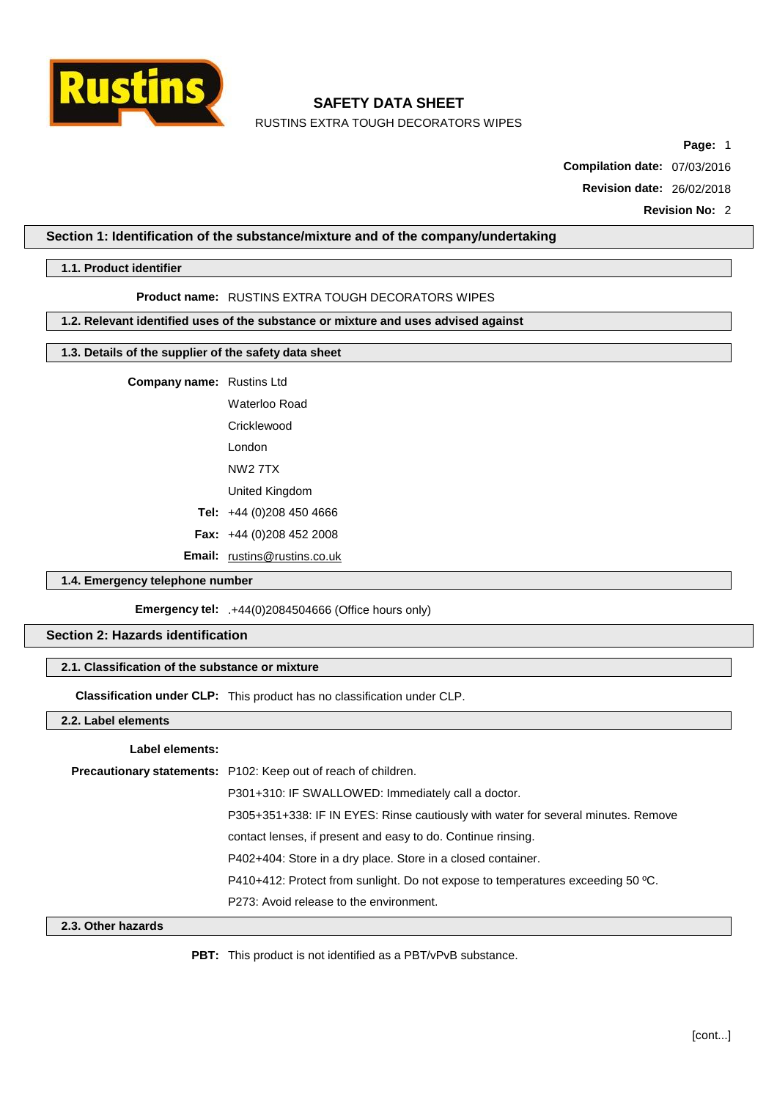

RUSTINS EXTRA TOUGH DECORATORS WIPES

**Page:** 1

**Compilation date:** 07/03/2016

**Revision date:** 26/02/2018

### **Section 1: Identification of the substance/mixture and of the company/undertaking**

### **1.1. Product identifier**

#### **Product name:** RUSTINS EXTRA TOUGH DECORATORS WIPES

## **1.2. Relevant identified uses of the substance or mixture and uses advised against**

## **1.3. Details of the supplier of the safety data sheet**

**Company name:** Rustins Ltd

Waterloo Road Cricklewood London

NW2 7TX

United Kingdom

**Tel:** +44 (0)208 450 4666

**Fax:** +44 (0)208 452 2008

**Email:** [rustins@rustins.co.uk](mailto:rustins@rustins.co.uk)

### **1.4. Emergency telephone number**

**Emergency tel:** .+44(0)2084504666 (Office hours only)

## **Section 2: Hazards identification**

### **2.1. Classification of the substance or mixture**

**Classification under CLP:** This product has no classification under CLP.

**2.2. Label elements**

#### **Label elements:**

| Precautionary statements: P102: Keep out of reach of children.                    |
|-----------------------------------------------------------------------------------|
| P301+310: IF SWALLOWED: Immediately call a doctor.                                |
| P305+351+338: IF IN EYES: Rinse cautiously with water for several minutes. Remove |
| contact lenses, if present and easy to do. Continue rinsing.                      |
| P402+404: Store in a dry place. Store in a closed container.                      |
| P410+412: Protect from sunlight. Do not expose to temperatures exceeding 50 °C.   |
| P273: Avoid release to the environment.                                           |

## **2.3. Other hazards**

**PBT:** This product is not identified as a PBT/vPvB substance.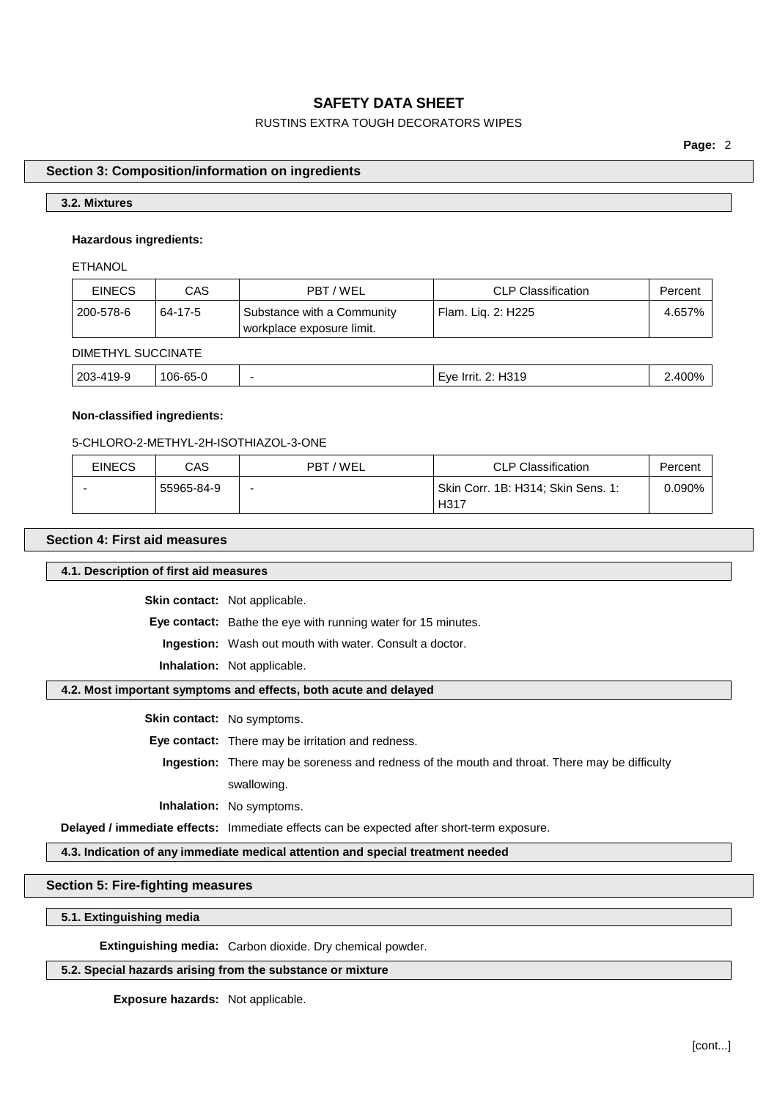## RUSTINS EXTRA TOUGH DECORATORS WIPES

**Page:** 2

### **Section 3: Composition/information on ingredients**

### **3.2. Mixtures**

### **Hazardous ingredients:**

**ETHANOL** 

| <b>EINECS</b> | CAS     | PBT/WEL                                                 | <b>CLP Classification</b> | Percent |
|---------------|---------|---------------------------------------------------------|---------------------------|---------|
| 200-578-6     | 64-17-5 | Substance with a Community<br>workplace exposure limit. | Flam. Lig. 2: H225        | 4.657%  |

## DIMETHYL SUCCINATE

| '06-<br>19-9<br>-1/8<br>-----<br>--<br>. .<br>റാ-' | 203 |  | $\sim$ $\sim$ $\sim$ $\sim$ $\sim$ $\sim$ |  |
|----------------------------------------------------|-----|--|-------------------------------------------|--|
|                                                    |     |  |                                           |  |

### **Non-classified ingredients:**

#### 5-CHLORO-2-METHYL-2H-ISOTHIAZOL-3-ONE

| <b>EINECS</b> | CAS        | PBT/WEL                  | <b>CLP Classification</b>          | Percent |
|---------------|------------|--------------------------|------------------------------------|---------|
|               | 55965-84-9 | $\overline{\phantom{0}}$ | Skin Corr. 1B: H314; Skin Sens. 1: | 0.090%  |
|               |            |                          | H317                               |         |

## **Section 4: First aid measures**

**4.1. Description of first aid measures**

**Skin contact:** Not applicable.

**Eye contact:** Bathe the eye with running water for 15 minutes.

**Ingestion:** Wash out mouth with water. Consult a doctor.

**Inhalation:** Not applicable.

### **4.2. Most important symptoms and effects, both acute and delayed**

**Skin contact:** No symptoms.

**Eye contact:** There may be irritation and redness.

**Ingestion:** There may be soreness and redness of the mouth and throat. There may be difficulty swallowing.

**Inhalation:** No symptoms.

**Delayed / immediate effects:** Immediate effects can be expected after short-term exposure.

**4.3. Indication of any immediate medical attention and special treatment needed**

### **Section 5: Fire-fighting measures**

### **5.1. Extinguishing media**

**Extinguishing media:** Carbon dioxide. Dry chemical powder.

### **5.2. Special hazards arising from the substance or mixture**

**Exposure hazards:** Not applicable.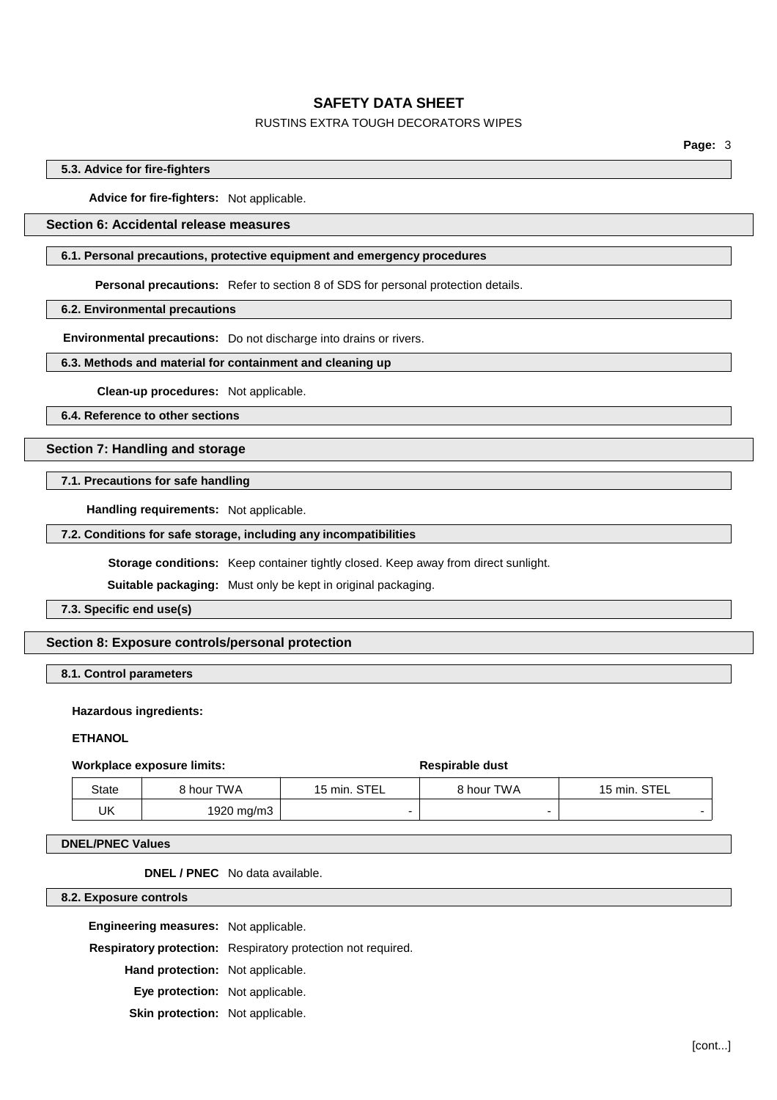## RUSTINS EXTRA TOUGH DECORATORS WIPES

**Page:** 3

### **5.3. Advice for fire-fighters**

**Advice for fire-fighters:** Not applicable.

## **Section 6: Accidental release measures**

### **6.1. Personal precautions, protective equipment and emergency procedures**

**Personal precautions:** Refer to section 8 of SDS for personal protection details.

**6.2. Environmental precautions**

**Environmental precautions:** Do not discharge into drains or rivers.

#### **6.3. Methods and material for containment and cleaning up**

**Clean-up procedures:** Not applicable.

**6.4. Reference to other sections**

## **Section 7: Handling and storage**

**7.1. Precautions for safe handling**

**Handling requirements:** Not applicable.

#### **7.2. Conditions for safe storage, including any incompatibilities**

**Storage conditions:** Keep container tightly closed. Keep away from direct sunlight.

**Suitable packaging:** Must only be kept in original packaging.

**7.3. Specific end use(s)**

### **Section 8: Exposure controls/personal protection**

**8.1. Control parameters**

**Hazardous ingredients:**

### **ETHANOL**

#### **Workplace** exposure limits: **Respirable** dust

| State | 8 hour TWA | 15 min. STEL | 8 hour TWA | 15 min. STEL |
|-------|------------|--------------|------------|--------------|
| UΚ    | 1920 mg/m3 |              |            |              |

#### **DNEL/PNEC Values**

**DNEL / PNEC** No data available.

**8.2. Exposure controls**

**Engineering measures:** Not applicable.

**Respiratory protection:** Respiratory protection not required.

**Hand protection:** Not applicable.

**Eye protection:** Not applicable.

**Skin protection:** Not applicable.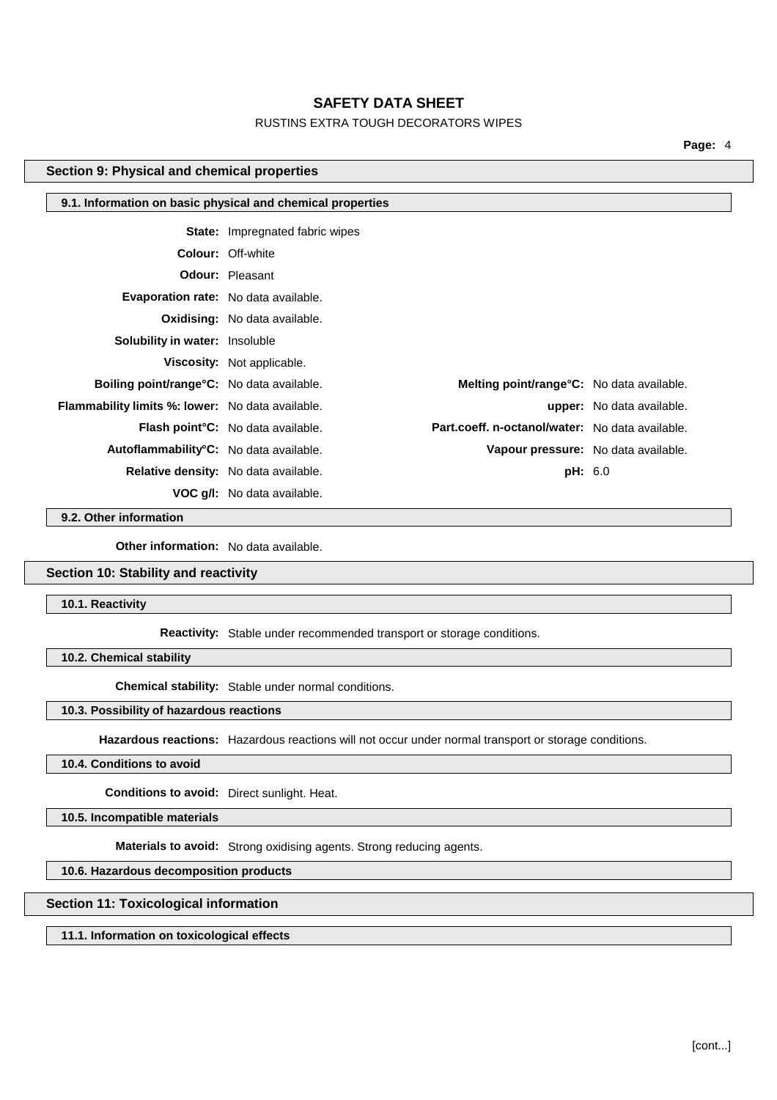## RUSTINS EXTRA TOUGH DECORATORS WIPES

**Page:** 4

## **Section 9: Physical and chemical properties**

|                                                         | 9.1. Information on basic physical and chemical properties |                                                   |                                  |
|---------------------------------------------------------|------------------------------------------------------------|---------------------------------------------------|----------------------------------|
|                                                         | <b>State:</b> Impregnated fabric wipes                     |                                                   |                                  |
|                                                         |                                                            |                                                   |                                  |
|                                                         | <b>Colour: Off-white</b>                                   |                                                   |                                  |
|                                                         | <b>Odour: Pleasant</b>                                     |                                                   |                                  |
| <b>Evaporation rate:</b> No data available.             |                                                            |                                                   |                                  |
|                                                         | <b>Oxidising:</b> No data available.                       |                                                   |                                  |
| <b>Solubility in water: Insoluble</b>                   |                                                            |                                                   |                                  |
|                                                         | <b>Viscosity:</b> Not applicable.                          |                                                   |                                  |
| <b>Boiling point/range °C:</b> No data available.       |                                                            | <b>Melting point/range °C:</b> No data available. |                                  |
| <b>Flammability limits %: lower:</b> No data available. |                                                            |                                                   | <b>upper:</b> No data available. |
|                                                         | <b>Flash point °C:</b> No data available.                  | Part.coeff. n-octanol/water: No data available.   |                                  |
| Autoflammability <sup>°</sup> C: No data available.     |                                                            | Vapour pressure: No data available.               |                                  |
|                                                         | Relative density: No data available.                       | <b>pH:</b> 6.0                                    |                                  |
|                                                         | <b>VOC g/l:</b> No data available.                         |                                                   |                                  |

**9.2. Other information**

**Other information:** No data available.

### **Section 10: Stability and reactivity**

**10.1. Reactivity**

**Reactivity:** Stable under recommended transport or storage conditions.

**10.2. Chemical stability**

**Chemical stability:** Stable under normal conditions.

### **10.3. Possibility of hazardous reactions**

**Hazardous reactions:** Hazardous reactions will not occur under normal transport or storage conditions.

## **10.4. Conditions to avoid**

**Conditions to avoid:** Direct sunlight. Heat.

**10.5. Incompatible materials**

**Materials to avoid:** Strong oxidising agents. Strong reducing agents.

## **10.6. Hazardous decomposition products**

### **Section 11: Toxicological information**

**11.1. Information on toxicological effects**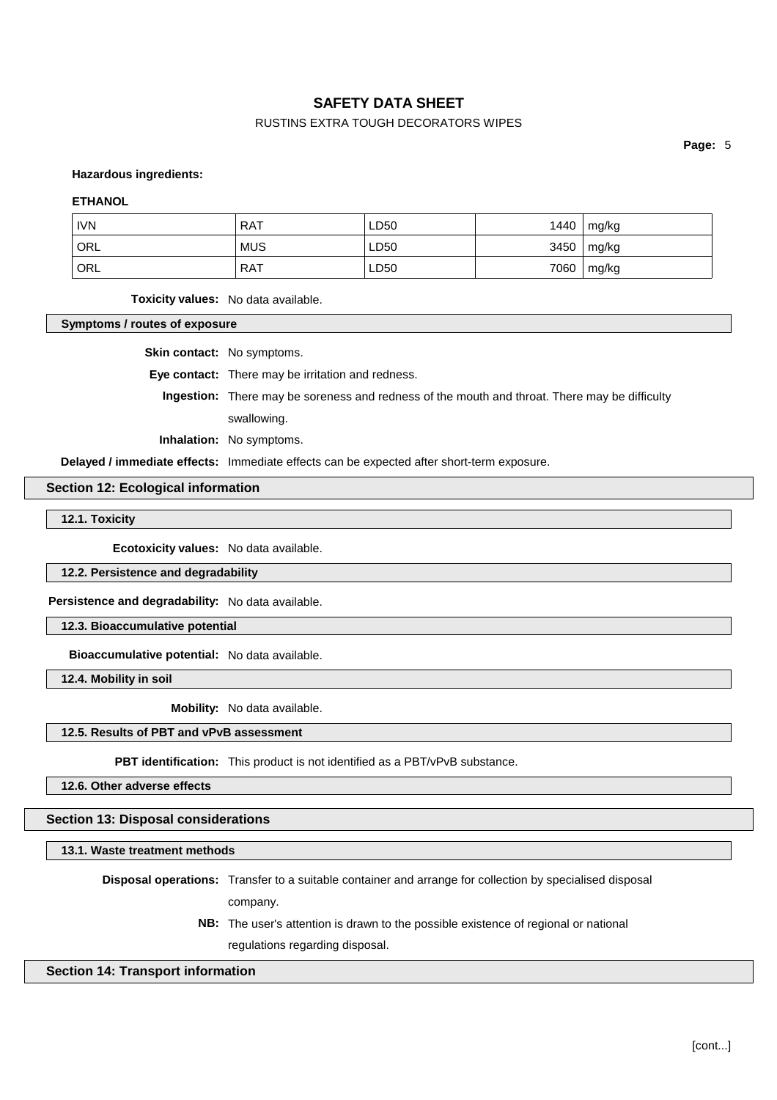## RUSTINS EXTRA TOUGH DECORATORS WIPES

**Page:** 5

#### **Hazardous ingredients:**

#### **ETHANOL**

| <b>IVN</b> | <b>RAT</b> | LD50 | 1440 | mg/kg        |
|------------|------------|------|------|--------------|
| ' ORL      | <b>MUS</b> | LD50 | 3450 | $\mid$ mg/kg |
| ' ORL      | <b>RAT</b> | LD50 | 7060 | mg/kg        |

**Toxicity values:** No data available.

**Symptoms / routes of exposure**

**Skin contact:** No symptoms.

**Eye contact:** There may be irritation and redness.

**Ingestion:** There may be soreness and redness of the mouth and throat. There may be difficulty swallowing.

**Inhalation:** No symptoms.

**Delayed / immediate effects:** Immediate effects can be expected after short-term exposure.

#### **Section 12: Ecological information**

**12.1. Toxicity**

**Ecotoxicity values:** No data available.

**12.2. Persistence and degradability**

**Persistence and degradability:** No data available.

**12.3. Bioaccumulative potential**

**Bioaccumulative potential:** No data available.

**12.4. Mobility in soil**

**Mobility:** No data available.

#### **12.5. Results of PBT and vPvB assessment**

**PBT identification:** This product is not identified as a PBT/vPvB substance.

**12.6. Other adverse effects**

**Section 13: Disposal considerations**

**13.1. Waste treatment methods**

**Disposal operations:** Transfer to a suitable container and arrange for collection by specialised disposal

company.

**NB:** The user's attention is drawn to the possible existence of regional or national regulations regarding disposal.

#### **Section 14: Transport information**